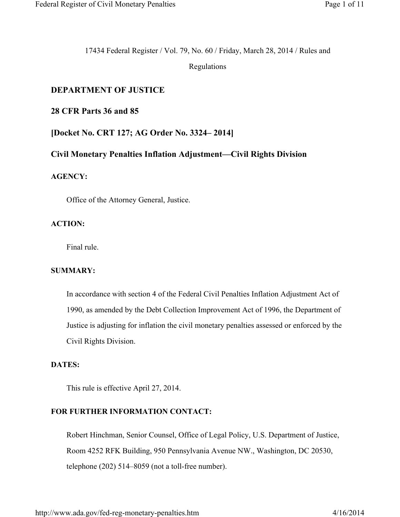17434 Federal Register / Vol. 79, No. 60 / Friday, March 28, 2014 / Rules and

Regulations

# **DEPARTMENT OF JUSTICE**

# **28 CFR Parts 36 and 85**

# **[Docket No. CRT 127; AG Order No. 3324– 2014]**

# **Civil Monetary Penalties Inflation Adjustment—Civil Rights Division**

## **AGENCY:**

Office of the Attorney General, Justice.

## **ACTION:**

Final rule.

#### **SUMMARY:**

In accordance with section 4 of the Federal Civil Penalties Inflation Adjustment Act of 1990, as amended by the Debt Collection Improvement Act of 1996, the Department of Justice is adjusting for inflation the civil monetary penalties assessed or enforced by the Civil Rights Division.

## **DATES:**

This rule is effective April 27, 2014.

## **FOR FURTHER INFORMATION CONTACT:**

Robert Hinchman, Senior Counsel, Office of Legal Policy, U.S. Department of Justice, Room 4252 RFK Building, 950 Pennsylvania Avenue NW., Washington, DC 20530, telephone (202) 514–8059 (not a toll-free number).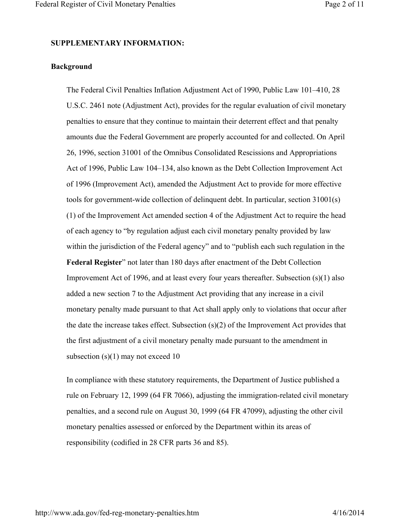# **SUPPLEMENTARY INFORMATION:**

# **Background**

The Federal Civil Penalties Inflation Adjustment Act of 1990, Public Law 101–410, 28 U.S.C. 2461 note (Adjustment Act), provides for the regular evaluation of civil monetary penalties to ensure that they continue to maintain their deterrent effect and that penalty amounts due the Federal Government are properly accounted for and collected. On April 26, 1996, section 31001 of the Omnibus Consolidated Rescissions and Appropriations Act of 1996, Public Law 104–134, also known as the Debt Collection Improvement Act of 1996 (Improvement Act), amended the Adjustment Act to provide for more effective tools for government-wide collection of delinquent debt. In particular, section 31001(s) (1) of the Improvement Act amended section 4 of the Adjustment Act to require the head of each agency to "by regulation adjust each civil monetary penalty provided by law within the jurisdiction of the Federal agency" and to "publish each such regulation in the **Federal Register**" not later than 180 days after enactment of the Debt Collection Improvement Act of 1996, and at least every four years thereafter. Subsection (s)(1) also added a new section 7 to the Adjustment Act providing that any increase in a civil monetary penalty made pursuant to that Act shall apply only to violations that occur after the date the increase takes effect. Subsection (s)(2) of the Improvement Act provides that the first adjustment of a civil monetary penalty made pursuant to the amendment in subsection  $(s)(1)$  may not exceed 10

In compliance with these statutory requirements, the Department of Justice published a rule on February 12, 1999 (64 FR 7066), adjusting the immigration-related civil monetary penalties, and a second rule on August 30, 1999 (64 FR 47099), adjusting the other civil monetary penalties assessed or enforced by the Department within its areas of responsibility (codified in 28 CFR parts 36 and 85).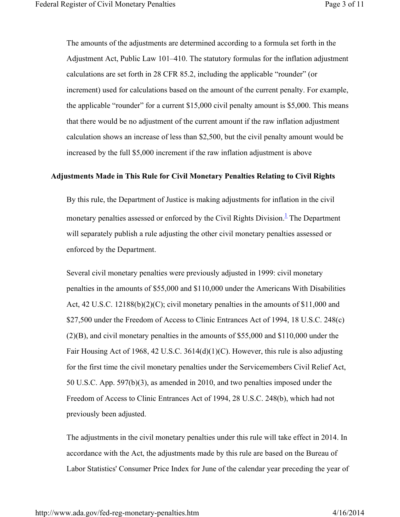The amounts of the adjustments are determined according to a formula set forth in the Adjustment Act, Public Law 101–410. The statutory formulas for the inflation adjustment calculations are set forth in 28 CFR 85.2, including the applicable "rounder" (or increment) used for calculations based on the amount of the current penalty. For example, the applicable "rounder" for a current \$15,000 civil penalty amount is \$5,000. This means that there would be no adjustment of the current amount if the raw inflation adjustment calculation shows an increase of less than \$2,500, but the civil penalty amount would be increased by the full \$5,000 increment if the raw inflation adjustment is above

#### **Adjustments Made in This Rule for Civil Monetary Penalties Relating to Civil Rights**

By this rule, the Department of Justice is making adjustments for inflation in the civil monetary penalties assessed or enforced by the Civil Rights Division. $\frac{1}{n}$  The Department will separately publish a rule adjusting the other civil monetary penalties assessed or enforced by the Department.

Several civil monetary penalties were previously adjusted in 1999: civil monetary penalties in the amounts of \$55,000 and \$110,000 under the Americans With Disabilities Act, 42 U.S.C. 12188(b)(2)(C); civil monetary penalties in the amounts of \$11,000 and \$27,500 under the Freedom of Access to Clinic Entrances Act of 1994, 18 U.S.C. 248(c) (2)(B), and civil monetary penalties in the amounts of \$55,000 and \$110,000 under the Fair Housing Act of 1968, 42 U.S.C. 3614(d)(1)(C). However, this rule is also adjusting for the first time the civil monetary penalties under the Servicemembers Civil Relief Act, 50 U.S.C. App. 597(b)(3), as amended in 2010, and two penalties imposed under the Freedom of Access to Clinic Entrances Act of 1994, 28 U.S.C. 248(b), which had not previously been adjusted.

The adjustments in the civil monetary penalties under this rule will take effect in 2014. In accordance with the Act, the adjustments made by this rule are based on the Bureau of Labor Statistics' Consumer Price Index for June of the calendar year preceding the year of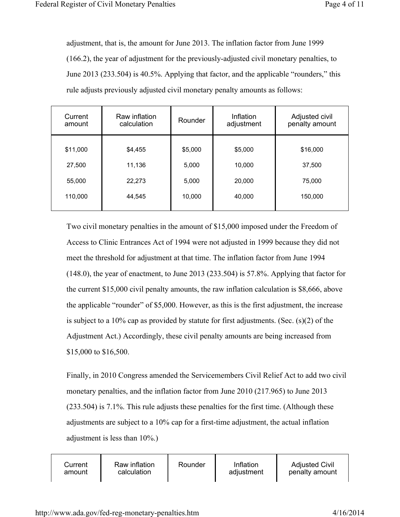adjustment, that is, the amount for June 2013. The inflation factor from June 1999 (166.2), the year of adjustment for the previously-adjusted civil monetary penalties, to June 2013 (233.504) is 40.5%. Applying that factor, and the applicable "rounders," this rule adjusts previously adjusted civil monetary penalty amounts as follows:

| Current<br>amount | Raw inflation<br>calculation | Rounder | Inflation<br>adjustment | Adjusted civil<br>penalty amount |
|-------------------|------------------------------|---------|-------------------------|----------------------------------|
| \$11,000          | \$4,455                      | \$5,000 | \$5,000                 | \$16,000                         |
| 27,500            | 11,136                       | 5,000   | 10,000                  | 37,500                           |
| 55,000            | 22,273                       | 5,000   | 20,000                  | 75,000                           |
| 110,000           | 44,545                       | 10,000  | 40,000                  | 150,000                          |
|                   |                              |         |                         |                                  |

Two civil monetary penalties in the amount of \$15,000 imposed under the Freedom of Access to Clinic Entrances Act of 1994 were not adjusted in 1999 because they did not meet the threshold for adjustment at that time. The inflation factor from June 1994 (148.0), the year of enactment, to June 2013 (233.504) is 57.8%. Applying that factor for the current \$15,000 civil penalty amounts, the raw inflation calculation is \$8,666, above the applicable "rounder" of \$5,000. However, as this is the first adjustment, the increase is subject to a 10% cap as provided by statute for first adjustments. (Sec.  $(s)(2)$ ) of the Adjustment Act.) Accordingly, these civil penalty amounts are being increased from \$15,000 to \$16,500.

Finally, in 2010 Congress amended the Servicemembers Civil Relief Act to add two civil monetary penalties, and the inflation factor from June 2010 (217.965) to June 2013 (233.504) is 7.1%. This rule adjusts these penalties for the first time. (Although these adjustments are subject to a 10% cap for a first-time adjustment, the actual inflation adjustment is less than 10%.)

| Current | Raw inflation | Rounder | Inflation  | <b>Adjusted Civil</b> |
|---------|---------------|---------|------------|-----------------------|
| amount  | calculation   |         | adjustment | penalty amount        |
|         |               |         |            |                       |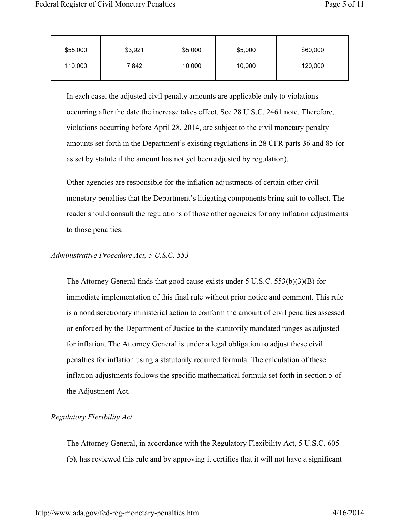| \$55,000 | \$3,921 | \$5,000 | \$5,000 | \$60,000 |
|----------|---------|---------|---------|----------|
| 110,000  | 7,842   | 10,000  | 10,000  | 120,000  |

In each case, the adjusted civil penalty amounts are applicable only to violations occurring after the date the increase takes effect. See 28 U.S.C. 2461 note. Therefore, violations occurring before April 28, 2014, are subject to the civil monetary penalty amounts set forth in the Department's existing regulations in 28 CFR parts 36 and 85 (or as set by statute if the amount has not yet been adjusted by regulation).

Other agencies are responsible for the inflation adjustments of certain other civil monetary penalties that the Department's litigating components bring suit to collect. The reader should consult the regulations of those other agencies for any inflation adjustments to those penalties.

## *Administrative Procedure Act, 5 U.S.C. 553*

The Attorney General finds that good cause exists under 5 U.S.C. 553(b)(3)(B) for immediate implementation of this final rule without prior notice and comment. This rule is a nondiscretionary ministerial action to conform the amount of civil penalties assessed or enforced by the Department of Justice to the statutorily mandated ranges as adjusted for inflation. The Attorney General is under a legal obligation to adjust these civil penalties for inflation using a statutorily required formula. The calculation of these inflation adjustments follows the specific mathematical formula set forth in section 5 of the Adjustment Act.

## *Regulatory Flexibility Act*

The Attorney General, in accordance with the Regulatory Flexibility Act, 5 U.S.C. 605 (b), has reviewed this rule and by approving it certifies that it will not have a significant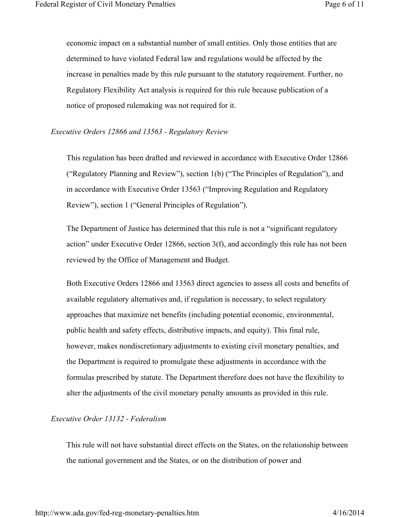economic impact on a substantial number of small entities. Only those entities that are determined to have violated Federal law and regulations would be affected by the increase in penalties made by this rule pursuant to the statutory requirement. Further, no Regulatory Flexibility Act analysis is required for this rule because publication of a notice of proposed rulemaking was not required for it.

#### *Executive Orders 12866 and 13563 - Regulatory Review*

This regulation has been drafted and reviewed in accordance with Executive Order 12866 ("Regulatory Planning and Review"), section 1(b) ("The Principles of Regulation"), and in accordance with Executive Order 13563 ("Improving Regulation and Regulatory Review"), section 1 ("General Principles of Regulation").

The Department of Justice has determined that this rule is not a "significant regulatory action" under Executive Order 12866, section 3(f), and accordingly this rule has not been reviewed by the Office of Management and Budget.

Both Executive Orders 12866 and 13563 direct agencies to assess all costs and benefits of available regulatory alternatives and, if regulation is necessary, to select regulatory approaches that maximize net benefits (including potential economic, environmental, public health and safety effects, distributive impacts, and equity). This final rule, however, makes nondiscretionary adjustments to existing civil monetary penalties, and the Department is required to promulgate these adjustments in accordance with the formulas prescribed by statute. The Department therefore does not have the flexibility to alter the adjustments of the civil monetary penalty amounts as provided in this rule.

#### *Executive Order 13132 - Federalism*

This rule will not have substantial direct effects on the States, on the relationship between the national government and the States, or on the distribution of power and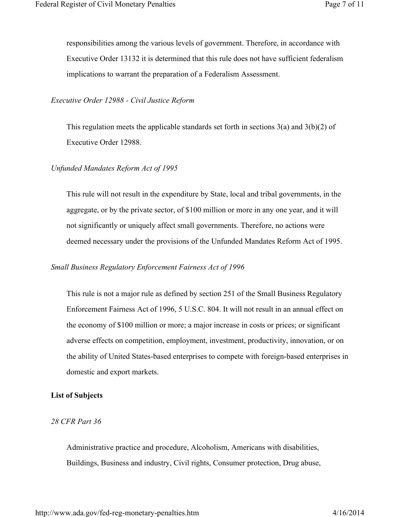responsibilities among the various levels of government. Therefore, in accordance with Executive Order 13132 it is determined that this rule does not have sufficient federalism implications to warrant the preparation of a Federalism Assessment.

#### *Executive Order 12988 - Civil Justice Reform*

This regulation meets the applicable standards set forth in sections  $3(a)$  and  $3(b)(2)$  of Executive Order 12988.

#### *Unfunded Mandates Reform Act of 1995*

This rule will not result in the expenditure by State, local and tribal governments, in the aggregate, or by the private sector, of \$100 million or more in any one year, and it will not significantly or uniquely affect small governments. Therefore, no actions were deemed necessary under the provisions of the Unfunded Mandates Reform Act of 1995.

#### *Small Business Regulatory Enforcement Fairness Act of 1996*

This rule is not a major rule as defined by section 251 of the Small Business Regulatory Enforcement Fairness Act of 1996, 5 U.S.C. 804. It will not result in an annual effect on the economy of \$100 million or more; a major increase in costs or prices; or significant adverse effects on competition, employment, investment, productivity, innovation, or on the ability of United States-based enterprises to compete with foreign-based enterprises in domestic and export markets.

#### **List of Subjects**

## *28 CFR Part 36*

Administrative practice and procedure, Alcoholism, Americans with disabilities, Buildings, Business and industry, Civil rights, Consumer protection, Drug abuse,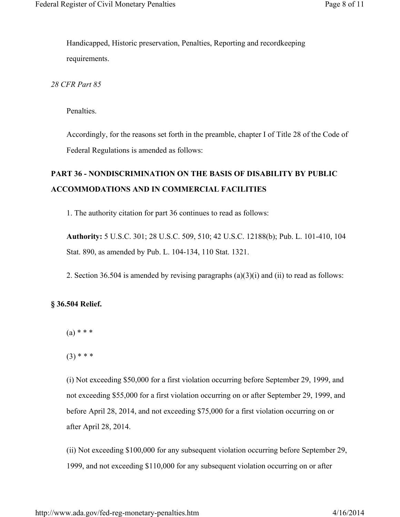Handicapped, Historic preservation, Penalties, Reporting and recordkeeping requirements.

*28 CFR Part 85*

Penalties.

Accordingly, for the reasons set forth in the preamble, chapter I of Title 28 of the Code of Federal Regulations is amended as follows:

# **PART 36 - NONDISCRIMINATION ON THE BASIS OF DISABILITY BY PUBLIC ACCOMMODATIONS AND IN COMMERCIAL FACILITIES**

1. The authority citation for part 36 continues to read as follows:

**Authority:** 5 U.S.C. 301; 28 U.S.C. 509, 510; 42 U.S.C. 12188(b); Pub. L. 101-410, 104 Stat. 890, as amended by Pub. L. 104-134, 110 Stat. 1321.

2. Section 36.504 is amended by revising paragraphs  $(a)(3)(i)$  and  $(ii)$  to read as follows:

## **§ 36.504 Relief.**

 $(a) * * *$ 

 $(3)$  \* \* \*

(i) Not exceeding \$50,000 for a first violation occurring before September 29, 1999, and not exceeding \$55,000 for a first violation occurring on or after September 29, 1999, and before April 28, 2014, and not exceeding \$75,000 for a first violation occurring on or after April 28, 2014.

(ii) Not exceeding \$100,000 for any subsequent violation occurring before September 29, 1999, and not exceeding \$110,000 for any subsequent violation occurring on or after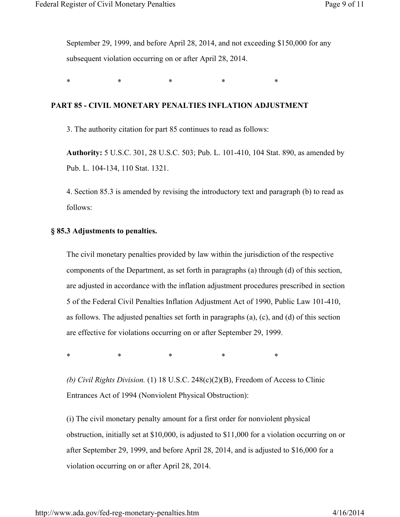September 29, 1999, and before April 28, 2014, and not exceeding \$150,000 for any subsequent violation occurring on or after April 28, 2014.

\* \* \* \* \* \* \* \*

### **PART 85 - CIVIL MONETARY PENALTIES INFLATION ADJUSTMENT**

3. The authority citation for part 85 continues to read as follows:

**Authority:** 5 U.S.C. 301, 28 U.S.C. 503; Pub. L. 101-410, 104 Stat. 890, as amended by Pub. L. 104-134, 110 Stat. 1321.

4. Section 85.3 is amended by revising the introductory text and paragraph (b) to read as follows:

## **§ 85.3 Adjustments to penalties.**

The civil monetary penalties provided by law within the jurisdiction of the respective components of the Department, as set forth in paragraphs (a) through (d) of this section, are adjusted in accordance with the inflation adjustment procedures prescribed in section 5 of the Federal Civil Penalties Inflation Adjustment Act of 1990, Public Law 101-410, as follows. The adjusted penalties set forth in paragraphs (a), (c), and (d) of this section are effective for violations occurring on or after September 29, 1999.

\* \* \* \* \* \* \* \*

*(b) Civil Rights Division.* (1) 18 U.S.C. 248(c)(2)(B), Freedom of Access to Clinic Entrances Act of 1994 (Nonviolent Physical Obstruction):

(i) The civil monetary penalty amount for a first order for nonviolent physical obstruction, initially set at \$10,000, is adjusted to \$11,000 for a violation occurring on or after September 29, 1999, and before April 28, 2014, and is adjusted to \$16,000 for a violation occurring on or after April 28, 2014.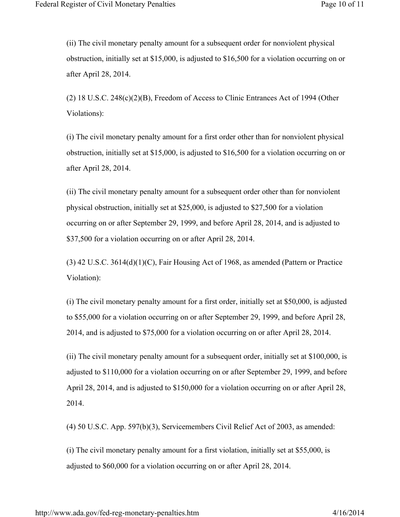(ii) The civil monetary penalty amount for a subsequent order for nonviolent physical obstruction, initially set at \$15,000, is adjusted to \$16,500 for a violation occurring on or after April 28, 2014.

 $(2)$  18 U.S.C. 248 $(c)(2)(B)$ , Freedom of Access to Clinic Entrances Act of 1994 (Other Violations):

(i) The civil monetary penalty amount for a first order other than for nonviolent physical obstruction, initially set at \$15,000, is adjusted to \$16,500 for a violation occurring on or after April 28, 2014.

(ii) The civil monetary penalty amount for a subsequent order other than for nonviolent physical obstruction, initially set at \$25,000, is adjusted to \$27,500 for a violation occurring on or after September 29, 1999, and before April 28, 2014, and is adjusted to \$37,500 for a violation occurring on or after April 28, 2014.

(3) 42 U.S.C. 3614(d)(1)(C), Fair Housing Act of 1968, as amended (Pattern or Practice Violation):

(i) The civil monetary penalty amount for a first order, initially set at \$50,000, is adjusted to \$55,000 for a violation occurring on or after September 29, 1999, and before April 28, 2014, and is adjusted to \$75,000 for a violation occurring on or after April 28, 2014.

(ii) The civil monetary penalty amount for a subsequent order, initially set at \$100,000, is adjusted to \$110,000 for a violation occurring on or after September 29, 1999, and before April 28, 2014, and is adjusted to \$150,000 for a violation occurring on or after April 28, 2014.

(4) 50 U.S.C. App. 597(b)(3), Servicemembers Civil Relief Act of 2003, as amended:

(i) The civil monetary penalty amount for a first violation, initially set at \$55,000, is adjusted to \$60,000 for a violation occurring on or after April 28, 2014.